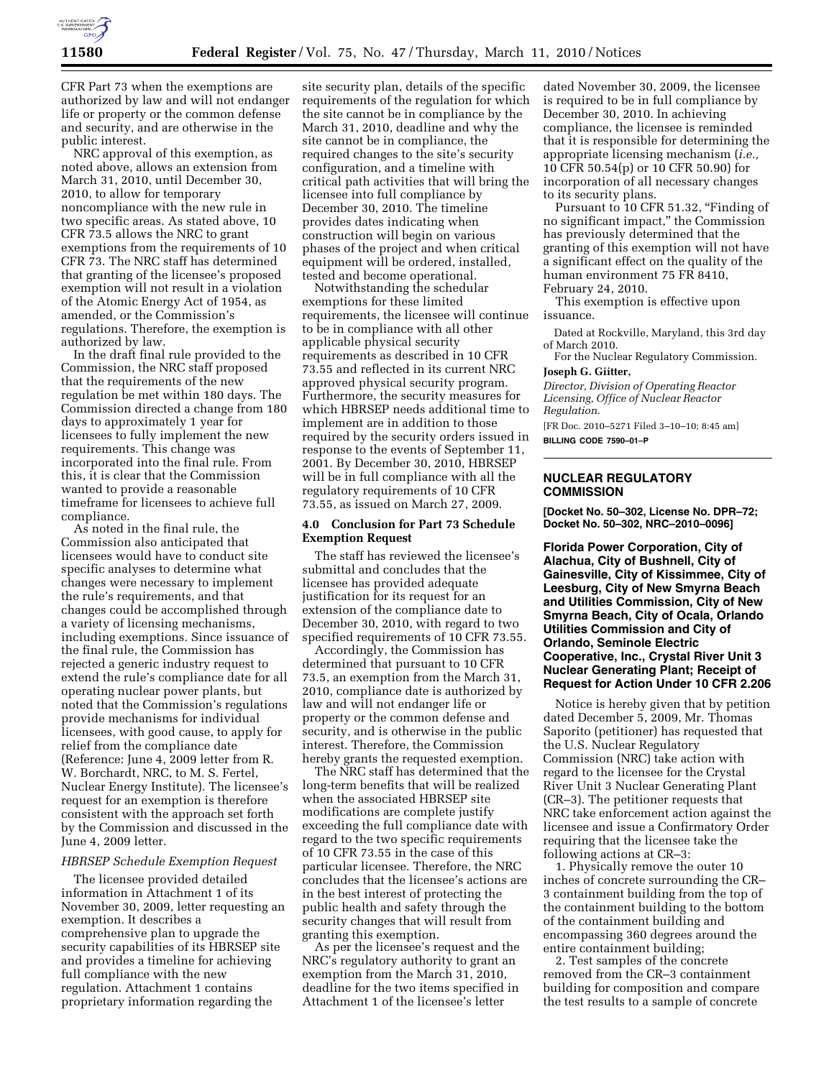

CFR Part 73 when the exemptions are authorized by law and will not endanger life or property or the common defense and security, and are otherwise in the public interest.

NRC approval of this exemption, as noted above, allows an extension from March 31, 2010, until December 30, 2010, to allow for temporary noncompliance with the new rule in two specific areas. As stated above, 10 CFR 73.5 allows the NRC to grant exemptions from the requirements of 10 CFR 73. The NRC staff has determined that granting of the licensee's proposed exemption will not result in a violation of the Atomic Energy Act of 1954, as amended, or the Commission's regulations. Therefore, the exemption is authorized by law.

In the draft final rule provided to the Commission, the NRC staff proposed that the requirements of the new regulation be met within 180 days. The Commission directed a change from 180 days to approximately 1 year for licensees to fully implement the new requirements. This change was incorporated into the final rule. From this, it is clear that the Commission wanted to provide a reasonable timeframe for licensees to achieve full compliance.

As noted in the final rule, the Commission also anticipated that licensees would have to conduct site specific analyses to determine what changes were necessary to implement the rule's requirements, and that changes could be accomplished through a variety of licensing mechanisms, including exemptions. Since issuance of the final rule, the Commission has rejected a generic industry request to extend the rule's compliance date for all operating nuclear power plants, but noted that the Commission's regulations provide mechanisms for individual licensees, with good cause, to apply for relief from the compliance date (Reference: June 4, 2009 letter from R. W. Borchardt, NRC, to M. S. Fertel, Nuclear Energy Institute). The licensee's request for an exemption is therefore consistent with the approach set forth by the Commission and discussed in the June 4, 2009 letter.

## *HBRSEP Schedule Exemption Request*

The licensee provided detailed information in Attachment 1 of its November 30, 2009, letter requesting an exemption. It describes a comprehensive plan to upgrade the security capabilities of its HBRSEP site and provides a timeline for achieving full compliance with the new regulation. Attachment 1 contains proprietary information regarding the

site security plan, details of the specific requirements of the regulation for which the site cannot be in compliance by the March 31, 2010, deadline and why the site cannot be in compliance, the required changes to the site's security configuration, and a timeline with critical path activities that will bring the licensee into full compliance by December 30, 2010. The timeline provides dates indicating when construction will begin on various phases of the project and when critical equipment will be ordered, installed, tested and become operational.

Notwithstanding the schedular exemptions for these limited requirements, the licensee will continue to be in compliance with all other applicable physical security requirements as described in 10 CFR 73.55 and reflected in its current NRC approved physical security program. Furthermore, the security measures for which HBRSEP needs additional time to implement are in addition to those required by the security orders issued in response to the events of September 11, 2001. By December 30, 2010, HBRSEP will be in full compliance with all the regulatory requirements of 10 CFR 73.55, as issued on March 27, 2009.

## **4.0 Conclusion for Part 73 Schedule Exemption Request**

The staff has reviewed the licensee's submittal and concludes that the licensee has provided adequate justification for its request for an extension of the compliance date to December 30, 2010, with regard to two specified requirements of 10 CFR 73.55.

Accordingly, the Commission has determined that pursuant to 10 CFR 73.5, an exemption from the March 31, 2010, compliance date is authorized by law and will not endanger life or property or the common defense and security, and is otherwise in the public interest. Therefore, the Commission hereby grants the requested exemption.

The NRC staff has determined that the long-term benefits that will be realized when the associated HBRSEP site modifications are complete justify exceeding the full compliance date with regard to the two specific requirements of 10 CFR 73.55 in the case of this particular licensee. Therefore, the NRC concludes that the licensee's actions are in the best interest of protecting the public health and safety through the security changes that will result from granting this exemption.

As per the licensee's request and the NRC's regulatory authority to grant an exemption from the March 31, 2010, deadline for the two items specified in Attachment 1 of the licensee's letter

dated November 30, 2009, the licensee is required to be in full compliance by December 30, 2010. In achieving compliance, the licensee is reminded that it is responsible for determining the appropriate licensing mechanism (*i.e.,*  10 CFR 50.54(p) or 10 CFR 50.90) for incorporation of all necessary changes to its security plans.

Pursuant to 10 CFR 51.32, "Finding of no significant impact,'' the Commission has previously determined that the granting of this exemption will not have a significant effect on the quality of the human environment 75 FR 8410, February 24, 2010.

This exemption is effective upon issuance.

Dated at Rockville, Maryland, this 3rd day of March 2010.

For the Nuclear Regulatory Commission. **Joseph G. Giitter,** 

*Director, Division of Operating Reactor Licensing, Office of Nuclear Reactor Regulation.* 

[FR Doc. 2010–5271 Filed 3–10–10; 8:45 am] **BILLING CODE 7590–01–P** 

## **NUCLEAR REGULATORY COMMISSION**

**[Docket No. 50–302, License No. DPR–72; Docket No. 50–302, NRC–2010–0096]** 

**Florida Power Corporation, City of Alachua, City of Bushnell, City of Gainesville, City of Kissimmee, City of Leesburg, City of New Smyrna Beach and Utilities Commission, City of New Smyrna Beach, City of Ocala, Orlando Utilities Commission and City of Orlando, Seminole Electric Cooperative, Inc., Crystal River Unit 3 Nuclear Generating Plant; Receipt of Request for Action Under 10 CFR 2.206** 

Notice is hereby given that by petition dated December 5, 2009, Mr. Thomas Saporito (petitioner) has requested that the U.S. Nuclear Regulatory Commission (NRC) take action with regard to the licensee for the Crystal River Unit 3 Nuclear Generating Plant (CR–3). The petitioner requests that NRC take enforcement action against the licensee and issue a Confirmatory Order requiring that the licensee take the following actions at CR–3:

1. Physically remove the outer 10 inches of concrete surrounding the CR– 3 containment building from the top of the containment building to the bottom of the containment building and encompassing 360 degrees around the entire containment building;

2. Test samples of the concrete removed from the CR–3 containment building for composition and compare the test results to a sample of concrete